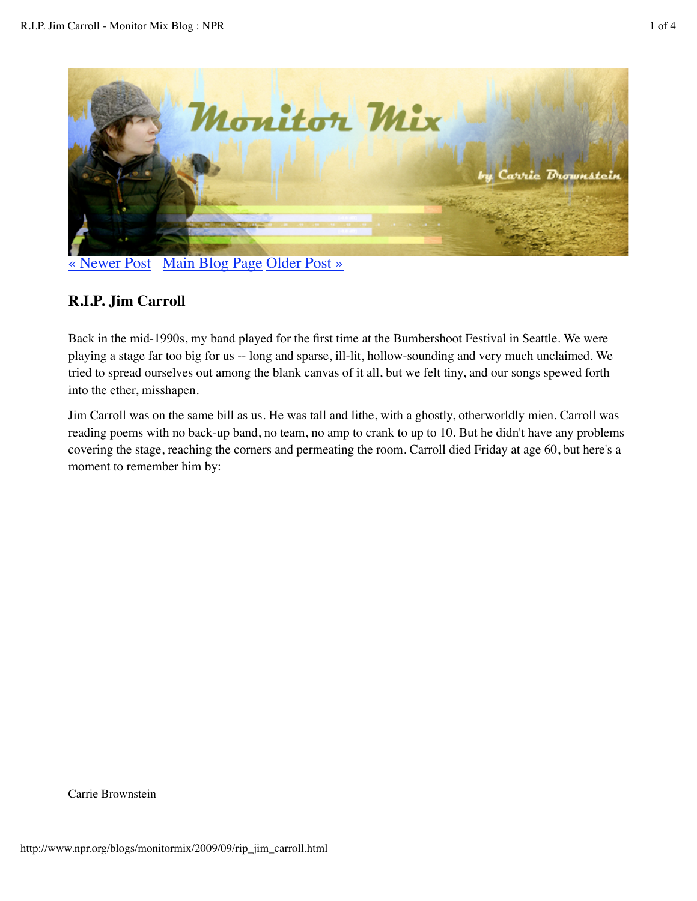

« Newer Post Main Blog Page Older Post »

# **R.I.P. Jim Carroll**

Back in the mid-1990s, my band played for the first time at the Bumbershoot Festival in Seattle. We were playing a stage far too big for us -- long and sparse, ill-lit, hollow-sounding and very much unclaimed. We tried to spread ourselves out among the blank canvas of it all, but we felt tiny, and our songs spewed forth into the ether, misshapen.

Jim Carroll was on the same bill as us. He was tall and lithe, with a ghostly, otherworldly mien. Carroll was reading poems with no back-up band, no team, no amp to crank to up to 10. But he didn't have any problems covering the stage, reaching the corners and permeating the room. Carroll died Friday at age 60, but here's a moment to remember him by:

Carrie Brownstein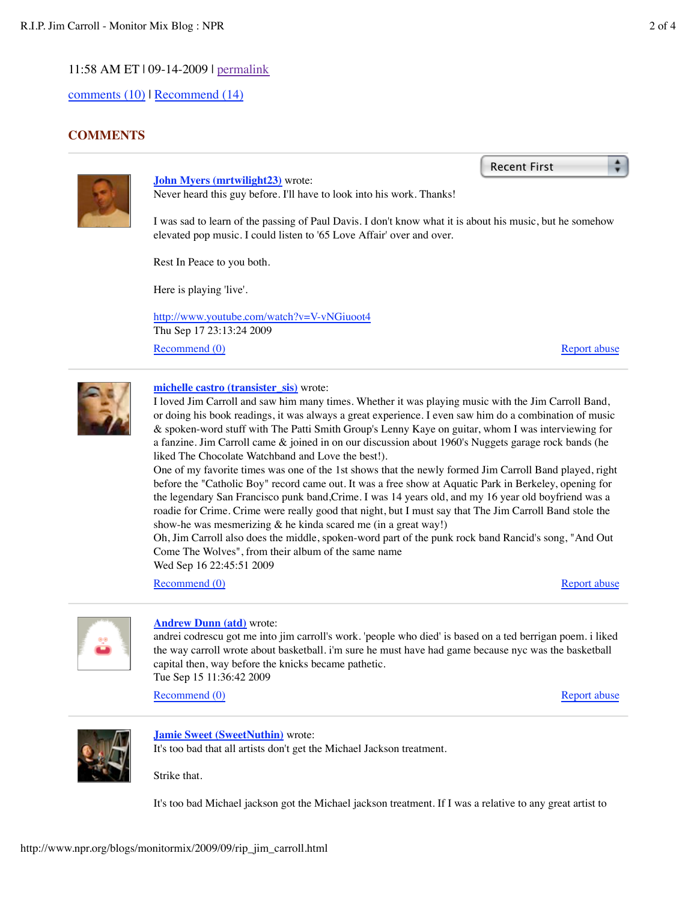comments (10) | Recommend (14)

# **COMMENTS**



**John Myers (mrtwilight23)** wrote: Never heard this guy before. I'll have to look into his work. Thanks!

I was sad to learn of the passing of Paul Davis. I don't know what it is about his music, but he somehow elevated pop music. I could listen to '65 Love Affair' over and over.

Rest In Peace to you both.

Here is playing 'live'.

Recommend (0) http://www.youtube.com/watch?v=V-vNGiuoot4 Thu Sep 17 23:13:24 2009

Report abuse

÷

Recent First



### **michelle castro (transister\_sis)** wrote:

I loved Jim Carroll and saw him many times. Whether it was playing music with the Jim Carroll Band, or doing his book readings, it was always a great experience. I even saw him do a combination of music & spoken-word stuff with The Patti Smith Group's Lenny Kaye on guitar, whom I was interviewing for a fanzine. Jim Carroll came & joined in on our discussion about 1960's Nuggets garage rock bands (he liked The Chocolate Watchband and Love the best!).

One of my favorite times was one of the 1st shows that the newly formed Jim Carroll Band played, right before the "Catholic Boy" record came out. It was a free show at Aquatic Park in Berkeley, opening for the legendary San Francisco punk band,Crime. I was 14 years old, and my 16 year old boyfriend was a roadie for Crime. Crime were really good that night, but I must say that The Jim Carroll Band stole the show-he was mesmerizing  $&$  he kinda scared me (in a great way!)

Oh, Jim Carroll also does the middle, spoken-word part of the punk rock band Rancid's song, "And Out Come The Wolves", from their album of the same name Wed Sep 16 22:45:51 2009

Recommend (0)

Report abuse



#### **Andrew Dunn (atd)** wrote:

andrei codrescu got me into jim carroll's work. 'people who died' is based on a ted berrigan poem. i liked the way carroll wrote about basketball. i'm sure he must have had game because nyc was the basketball capital then, way before the knicks became pathetic.

Tue Sep 15 11:36:42 2009

Recommend (0)

Report abuse



#### **Jamie Sweet (SweetNuthin)** wrote:

It's too bad that all artists don't get the Michael Jackson treatment.

Strike that.

It's too bad Michael jackson got the Michael jackson treatment. If I was a relative to any great artist to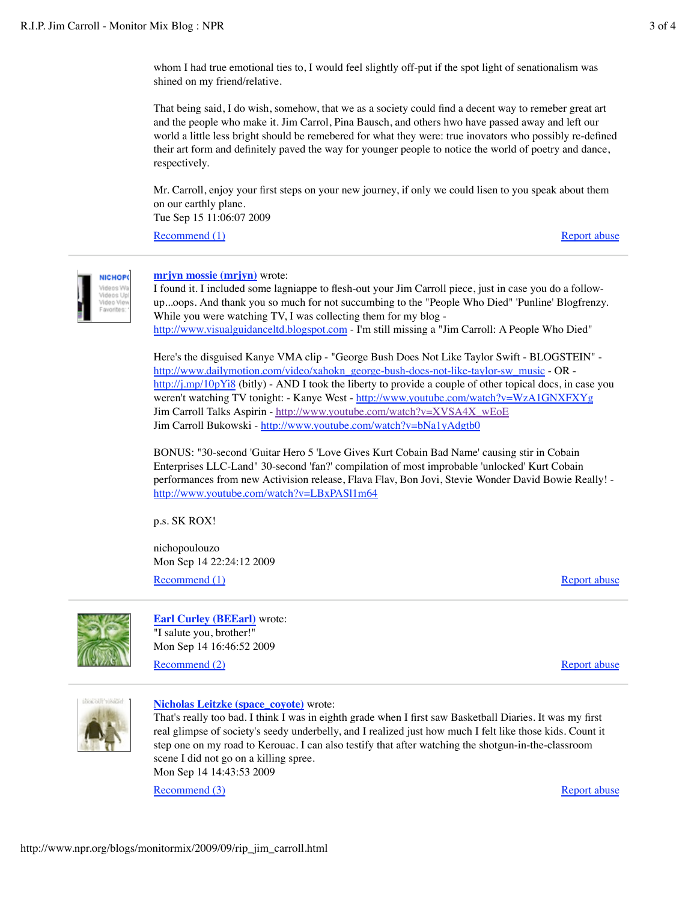whom I had true emotional ties to, I would feel slightly off-put if the spot light of senationalism was shined on my friend/relative.

That being said, I do wish, somehow, that we as a society could find a decent way to remeber great art and the people who make it. Jim Carrol, Pina Bausch, and others hwo have passed away and left our world a little less bright should be remebered for what they were: true inovators who possibly re-defined their art form and definitely paved the way for younger people to notice the world of poetry and dance, respectively.

Mr. Carroll, enjoy your first steps on your new journey, if only we could lisen to you speak about them on our earthly plane.

Tue Sep 15 11:06:07 2009

Recommend (1)

Report abuse



#### **mrjyn mossie (mrjyn)** wrote:

I found it. I included some lagniappe to flesh-out your Jim Carroll piece, just in case you do a followup...oops. And thank you so much for not succumbing to the "People Who Died" 'Punline' Blogfrenzy. While you were watching TV, I was collecting them for my blog http://www.visualguidanceltd.blogspot.com - I'm still missing a "Jim Carroll: A People Who Died"

Here's the disguised Kanye VMA clip - "George Bush Does Not Like Taylor Swift - BLOGSTEIN" http://www.dailymotion.com/video/xahokn\_george-bush-does-not-like-taylor-sw\_music - OR http://j.mp/10pYi8 (bitly) - AND I took the liberty to provide a couple of other topical docs, in case you weren't watching TV tonight: - Kanye West - http://www.youtube.com/watch?v=WzA1GNXFXYg Jim Carroll Talks Aspirin - http://www.youtube.com/watch?v=XVSA4X\_wEoE Jim Carroll Bukowski - http://www.youtube.com/watch?v=bNa1yAdgtb0

BONUS: "30-second 'Guitar Hero 5 'Love Gives Kurt Cobain Bad Name' causing stir in Cobain Enterprises LLC-Land" 30-second 'fan?' compilation of most improbable 'unlocked' Kurt Cobain performances from new Activision release, Flava Flav, Bon Jovi, Stevie Wonder David Bowie Really! http://www.youtube.com/watch?v=LBxPASl1m64

p.s. SK ROX!

Recommend (1) nichopoulouzo Mon Sep 14 22:24:12 2009

Report abuse



**Earl Curley (BEEarl)** wrote: "I salute you, brother!" Mon Sep 14 16:46:52 2009

Recommend (2)

Report abuse



### **Nicholas Leitzke (space\_coyote)** wrote:

That's really too bad. I think I was in eighth grade when I first saw Basketball Diaries. It was my first real glimpse of society's seedy underbelly, and I realized just how much I felt like those kids. Count it step one on my road to Kerouac. I can also testify that after watching the shotgun-in-the-classroom scene I did not go on a killing spree. Mon Sep 14 14:43:53 2009

Recommend (3)

Report abuse